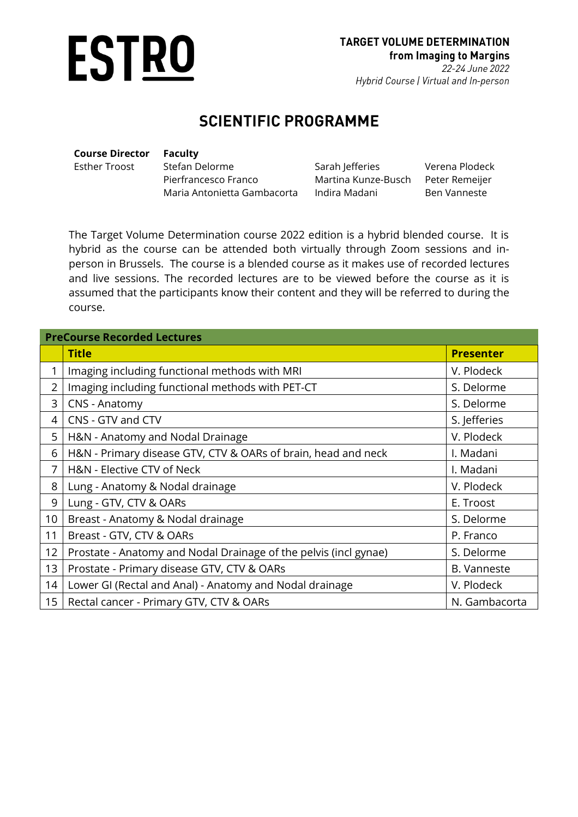

#### **SCIENTIFIC PROGRAMME**

| <b>Course Director</b> | Faculty                     |                     |                |
|------------------------|-----------------------------|---------------------|----------------|
| Esther Troost          | Stefan Delorme              | Sarah Jefferies     | Verena Plodeck |
|                        | Pierfrancesco Franco        | Martina Kunze-Busch | Peter Remeijer |
|                        | Maria Antonietta Gambacorta | Indira Madani       | Ben Vanneste   |
|                        |                             |                     |                |

The Target Volume Determination course 2022 edition is a hybrid blended course. It is hybrid as the course can be attended both virtually through Zoom sessions and inperson in Brussels. The course is a blended course as it makes use of recorded lectures and live sessions. The recorded lectures are to be viewed before the course as it is assumed that the participants know their content and they will be referred to during the course.

| <b>PreCourse Recorded Lectures</b> |                                                                  |                    |  |
|------------------------------------|------------------------------------------------------------------|--------------------|--|
|                                    | <b>Title</b>                                                     | <b>Presenter</b>   |  |
| 1                                  | Imaging including functional methods with MRI                    | V. Plodeck         |  |
| $\overline{2}$                     | Imaging including functional methods with PET-CT                 | S. Delorme         |  |
| 3                                  | CNS - Anatomy                                                    | S. Delorme         |  |
| 4                                  | CNS - GTV and CTV                                                | S. Jefferies       |  |
| 5                                  | H&N - Anatomy and Nodal Drainage                                 | V. Plodeck         |  |
| 6                                  | H&N - Primary disease GTV, CTV & OARs of brain, head and neck    | I. Madani          |  |
| 7                                  | H&N - Elective CTV of Neck                                       | I. Madani          |  |
| 8                                  | Lung - Anatomy & Nodal drainage                                  | V. Plodeck         |  |
| 9                                  | Lung - GTV, CTV & OARs                                           | E. Troost          |  |
| 10                                 | Breast - Anatomy & Nodal drainage                                | S. Delorme         |  |
| 11                                 | Breast - GTV, CTV & OARs                                         | P. Franco          |  |
| 12                                 | Prostate - Anatomy and Nodal Drainage of the pelvis (incl gynae) | S. Delorme         |  |
| 13                                 | Prostate - Primary disease GTV, CTV & OARs                       | <b>B. Vanneste</b> |  |
| 14                                 | Lower GI (Rectal and Anal) - Anatomy and Nodal drainage          | V. Plodeck         |  |
| 15                                 | N. Gambacorta<br>Rectal cancer - Primary GTV, CTV & OARs         |                    |  |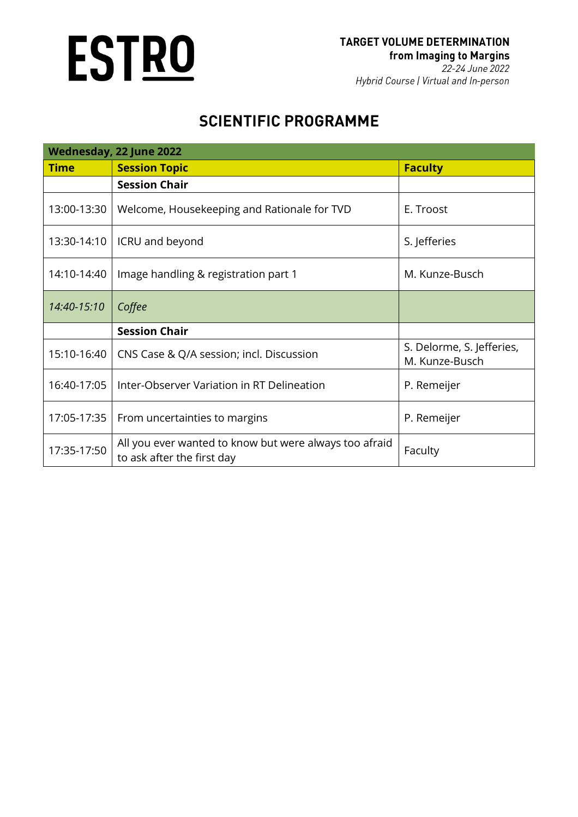# **ESTRO**

| Wednesday, 22 June 2022 |                                                                                      |                                             |  |  |
|-------------------------|--------------------------------------------------------------------------------------|---------------------------------------------|--|--|
| <b>Time</b>             | <b>Session Topic</b>                                                                 | <b>Faculty</b>                              |  |  |
|                         | <b>Session Chair</b>                                                                 |                                             |  |  |
| 13:00-13:30             | Welcome, Housekeeping and Rationale for TVD                                          | E. Troost                                   |  |  |
| 13:30-14:10             | ICRU and beyond                                                                      | S. Jefferies                                |  |  |
| 14:10-14:40             | Image handling & registration part 1                                                 | M. Kunze-Busch                              |  |  |
| 14:40-15:10             | Coffee                                                                               |                                             |  |  |
|                         | <b>Session Chair</b>                                                                 |                                             |  |  |
| 15:10-16:40             | CNS Case & Q/A session; incl. Discussion                                             | S. Delorme, S. Jefferies,<br>M. Kunze-Busch |  |  |
| 16:40-17:05             | Inter-Observer Variation in RT Delineation                                           | P. Remeijer                                 |  |  |
| 17:05-17:35             | From uncertainties to margins                                                        | P. Remeijer                                 |  |  |
| 17:35-17:50             | All you ever wanted to know but were always too afraid<br>to ask after the first day | Faculty                                     |  |  |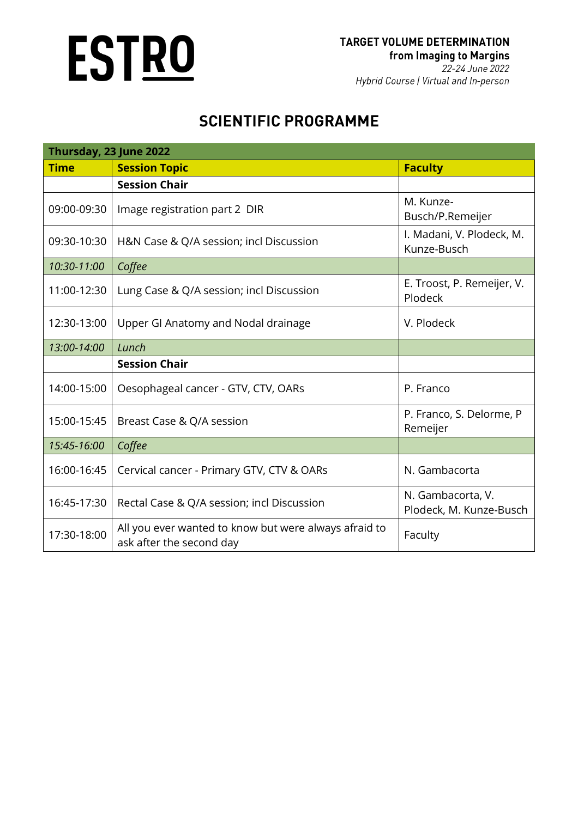# **ESTRO**

| Thursday, 23 June 2022 |                                                                                   |                                              |  |  |
|------------------------|-----------------------------------------------------------------------------------|----------------------------------------------|--|--|
| <b>Time</b>            | <b>Session Topic</b>                                                              | <b>Faculty</b>                               |  |  |
|                        | <b>Session Chair</b>                                                              |                                              |  |  |
| 09:00-09:30            | Image registration part 2 DIR                                                     | M. Kunze-<br>Busch/P.Remeijer                |  |  |
| 09:30-10:30            | H&N Case & Q/A session; incl Discussion                                           | I. Madani, V. Plodeck, M.<br>Kunze-Busch     |  |  |
| 10:30-11:00            | Coffee                                                                            |                                              |  |  |
| 11:00-12:30            | Lung Case & Q/A session; incl Discussion                                          | E. Troost, P. Remeijer, V.<br>Plodeck        |  |  |
| 12:30-13:00            | Upper GI Anatomy and Nodal drainage                                               | V. Plodeck                                   |  |  |
| 13:00-14:00            | Lunch                                                                             |                                              |  |  |
|                        | <b>Session Chair</b>                                                              |                                              |  |  |
| 14:00-15:00            | Oesophageal cancer - GTV, CTV, OARs                                               | P. Franco                                    |  |  |
| 15:00-15:45            | Breast Case & Q/A session                                                         | P. Franco, S. Delorme, P<br>Remeijer         |  |  |
| 15:45-16:00            | Coffee                                                                            |                                              |  |  |
| 16:00-16:45            | Cervical cancer - Primary GTV, CTV & OARs                                         | N. Gambacorta                                |  |  |
| 16:45-17:30            | Rectal Case & Q/A session; incl Discussion                                        | N. Gambacorta, V.<br>Plodeck, M. Kunze-Busch |  |  |
| 17:30-18:00            | All you ever wanted to know but were always afraid to<br>ask after the second day | Faculty                                      |  |  |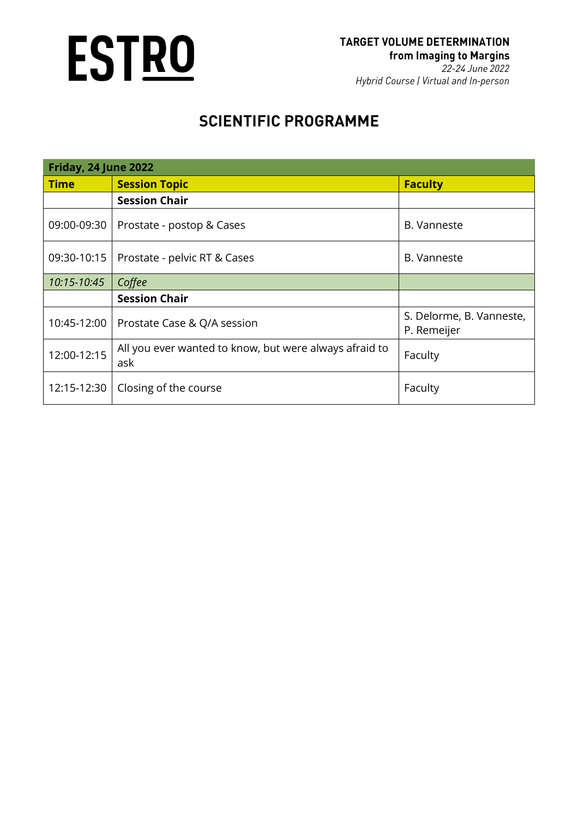

| <b>Friday, 24 June 2022</b> |                                                               |                                         |  |  |
|-----------------------------|---------------------------------------------------------------|-----------------------------------------|--|--|
| <b>Time</b>                 | <b>Session Topic</b>                                          | <b>Faculty</b>                          |  |  |
|                             | <b>Session Chair</b>                                          |                                         |  |  |
| 09:00-09:30                 | Prostate - postop & Cases                                     | B. Vanneste                             |  |  |
| 09:30-10:15                 | Prostate - pelvic RT & Cases                                  | B. Vanneste                             |  |  |
| 10:15-10:45                 | Coffee                                                        |                                         |  |  |
|                             | <b>Session Chair</b>                                          |                                         |  |  |
| 10:45-12:00                 | Prostate Case & Q/A session                                   | S. Delorme, B. Vanneste,<br>P. Remeijer |  |  |
| 12:00-12:15                 | All you ever wanted to know, but were always afraid to<br>ask | Faculty                                 |  |  |
| 12:15-12:30                 | Closing of the course                                         | Faculty                                 |  |  |